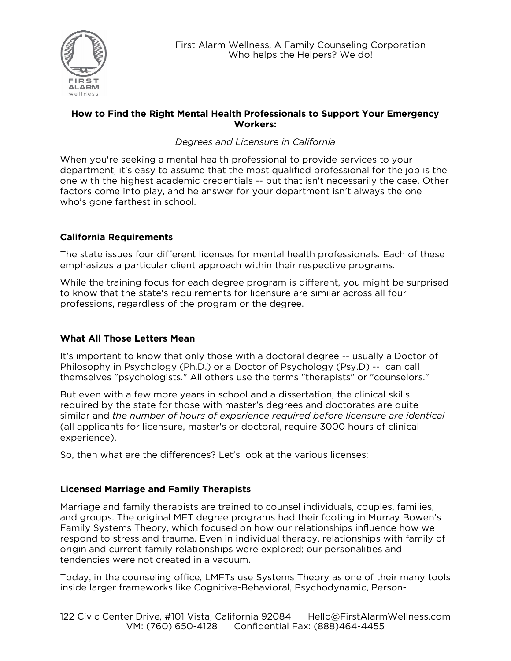

#### **How to Find the Right Mental Health Professionals to Support Your Emergency Workers:**

## *Degrees and Licensure in California*

When you're seeking a mental health professional to provide services to your department, it's easy to assume that the most qualified professional for the job is the one with the highest academic credentials -- but that isn't necessarily the case. Other factors come into play, and he answer for your department isn't always the one who's gone farthest in school.

## **California Requirements**

The state issues four different licenses for mental health professionals. Each of these emphasizes a particular client approach within their respective programs.

While the training focus for each degree program is different, you might be surprised to know that the state's requirements for licensure are similar across all four professions, regardless of the program or the degree.

#### **What All Those Letters Mean**

It's important to know that only those with a doctoral degree -- usually a Doctor of Philosophy in Psychology (Ph.D.) or a Doctor of Psychology (Psy.D) -- can call themselves "psychologists." All others use the terms "therapists" or "counselors."

But even with a few more years in school and a dissertation, the clinical skills required by the state for those with master's degrees and doctorates are quite similar and *the number of hours of experience required before licensure are identical* (all applicants for licensure, master's or doctoral, require 3000 hours of clinical experience).

So, then what are the differences? Let's look at the various licenses:

#### **Licensed Marriage and Family Therapists**

Marriage and family therapists are trained to counsel individuals, couples, families, and groups. The original MFT degree programs had their footing in Murray Bowen's Family Systems Theory, which focused on how our relationships influence how we respond to stress and trauma. Even in individual therapy, relationships with family of origin and current family relationships were explored; our personalities and tendencies were not created in a vacuum.

Today, in the counseling office, LMFTs use Systems Theory as one of their many tools inside larger frameworks like Cognitive-Behavioral, Psychodynamic, Person-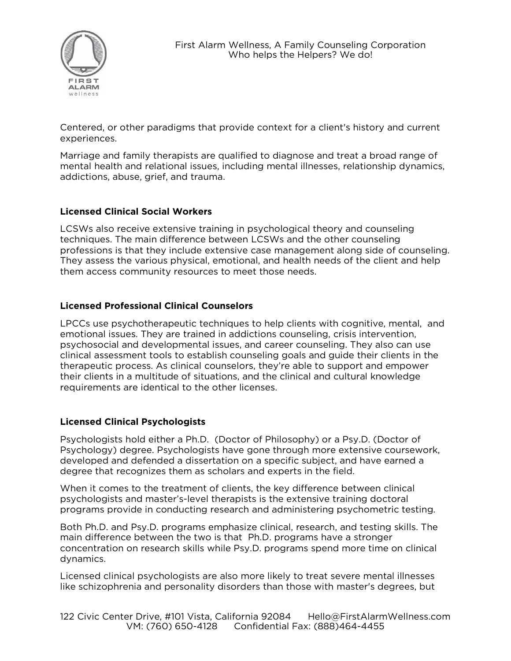

Centered, or other paradigms that provide context for a client's history and current experiences.

Marriage and family therapists are qualified to diagnose and treat a broad range of mental health and relational issues, including mental illnesses, relationship dynamics, addictions, abuse, grief, and trauma.

#### **Licensed Clinical Social Workers**

LCSWs also receive extensive training in psychological theory and counseling techniques. The main difference between LCSWs and the other counseling professions is that they include extensive case management along side of counseling. They assess the various physical, emotional, and health needs of the client and help them access community resources to meet those needs.

## **Licensed Professional Clinical Counselors**

LPCCs use psychotherapeutic techniques to help clients with cognitive, mental, and emotional issues. They are trained in addictions counseling, crisis intervention, psychosocial and developmental issues, and career counseling. They also can use clinical assessment tools to establish counseling goals and guide their clients in the therapeutic process. As clinical counselors, they're able to support and empower their clients in a multitude of situations, and the clinical and cultural knowledge requirements are identical to the other licenses.

#### **Licensed Clinical Psychologists**

Psychologists hold either a Ph.D. (Doctor of Philosophy) or a Psy.D. (Doctor of Psychology) degree. Psychologists have gone through more extensive coursework, developed and defended a dissertation on a specific subject, and have earned a degree that recognizes them as scholars and experts in the field.

When it comes to the treatment of clients, the key difference between clinical psychologists and master's-level therapists is the extensive training doctoral programs provide in conducting research and administering psychometric testing.

Both Ph.D. and Psy.D. programs emphasize clinical, research, and testing skills. The main difference between the two is that Ph.D. programs have a stronger concentration on research skills while Psy.D. programs spend more time on clinical dynamics.

Licensed clinical psychologists are also more likely to treat severe mental illnesses like schizophrenia and personality disorders than those with master's degrees, but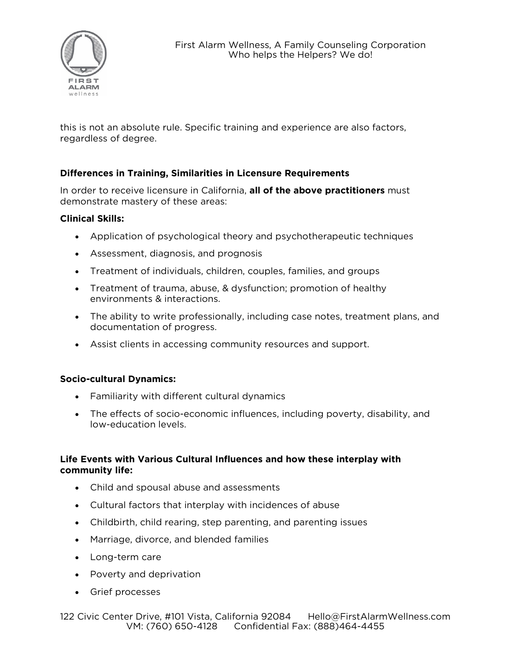

this is not an absolute rule. Specific training and experience are also factors, regardless of degree.

## **Differences in Training, Similarities in Licensure Requirements**

In order to receive licensure in California, **all of the above practitioners** must demonstrate mastery of these areas:

#### **Clinical Skills:**

- Application of psychological theory and psychotherapeutic techniques
- Assessment, diagnosis, and prognosis
- Treatment of individuals, children, couples, families, and groups
- Treatment of trauma, abuse, & dysfunction; promotion of healthy environments & interactions.
- The ability to write professionally, including case notes, treatment plans, and documentation of progress.
- Assist clients in accessing community resources and support.

#### **Socio-cultural Dynamics:**

- Familiarity with different cultural dynamics
- The effects of socio-economic influences, including poverty, disability, and low-education levels.

#### **Life Events with Various Cultural Influences and how these interplay with community life:**

- Child and spousal abuse and assessments
- Cultural factors that interplay with incidences of abuse
- Childbirth, child rearing, step parenting, and parenting issues
- Marriage, divorce, and blended families
- Long-term care
- Poverty and deprivation
- Grief processes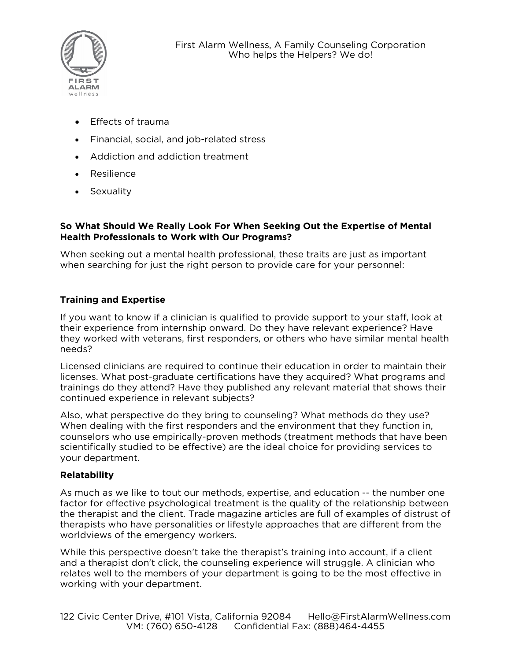

- Effects of trauma
- Financial, social, and job-related stress
- Addiction and addiction treatment
- Resilience
- Sexuality

### **So What Should We Really Look For When Seeking Out the Expertise of Mental Health Professionals to Work with Our Programs?**

When seeking out a mental health professional, these traits are just as important when searching for just the right person to provide care for your personnel:

## **Training and Expertise**

If you want to know if a clinician is qualified to provide support to your staff, look at their experience from internship onward. Do they have relevant experience? Have they worked with veterans, first responders, or others who have similar mental health needs?

Licensed clinicians are required to continue their education in order to maintain their licenses. What post-graduate certifications have they acquired? What programs and trainings do they attend? Have they published any relevant material that shows their continued experience in relevant subjects?

Also, what perspective do they bring to counseling? What methods do they use? When dealing with the first responders and the environment that they function in, counselors who use empirically-proven methods (treatment methods that have been scientifically studied to be effective) are the ideal choice for providing services to your department.

#### **Relatability**

As much as we like to tout our methods, expertise, and education -- the number one factor for effective psychological treatment is the quality of the relationship between the therapist and the client. Trade magazine articles are full of examples of distrust of therapists who have personalities or lifestyle approaches that are different from the worldviews of the emergency workers.

While this perspective doesn't take the therapist's training into account, if a client and a therapist don't click, the counseling experience will struggle. A clinician who relates well to the members of your department is going to be the most effective in working with your department.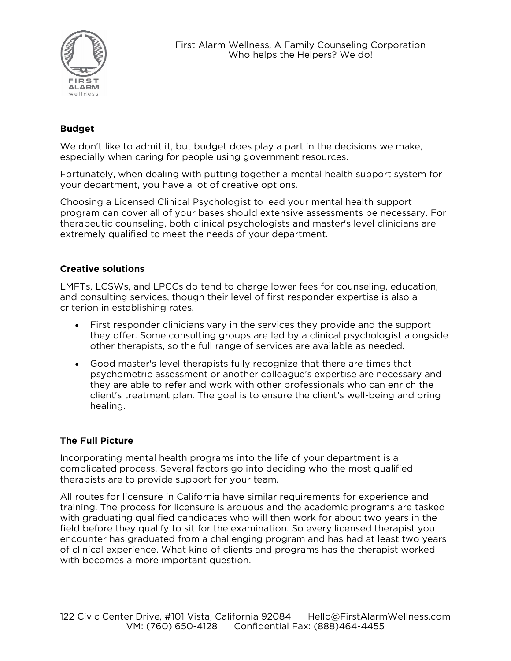

# **Budget**

We don't like to admit it, but budget does play a part in the decisions we make, especially when caring for people using government resources.

Fortunately, when dealing with putting together a mental health support system for your department, you have a lot of creative options.

Choosing a Licensed Clinical Psychologist to lead your mental health support program can cover all of your bases should extensive assessments be necessary. For therapeutic counseling, both clinical psychologists and master's level clinicians are extremely qualified to meet the needs of your department.

#### **Creative solutions**

LMFTs, LCSWs, and LPCCs do tend to charge lower fees for counseling, education, and consulting services, though their level of first responder expertise is also a criterion in establishing rates.

- First responder clinicians vary in the services they provide and the support they offer. Some consulting groups are led by a clinical psychologist alongside other therapists, so the full range of services are available as needed.
- Good master's level therapists fully recognize that there are times that psychometric assessment or another colleague's expertise are necessary and they are able to refer and work with other professionals who can enrich the client's treatment plan. The goal is to ensure the client's well-being and bring healing.

#### **The Full Picture**

Incorporating mental health programs into the life of your department is a complicated process. Several factors go into deciding who the most qualified therapists are to provide support for your team.

All routes for licensure in California have similar requirements for experience and training. The process for licensure is arduous and the academic programs are tasked with graduating qualified candidates who will then work for about two years in the field before they qualify to sit for the examination. So every licensed therapist you encounter has graduated from a challenging program and has had at least two years of clinical experience. What kind of clients and programs has the therapist worked with becomes a more important question.